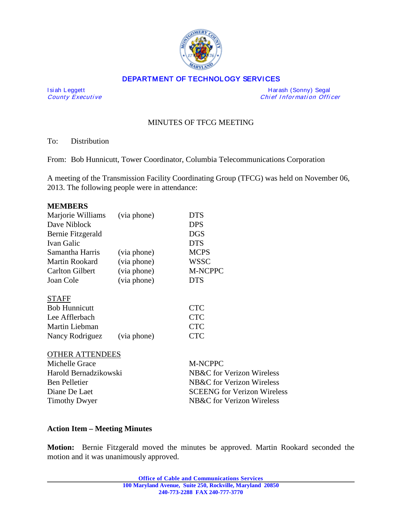

## DEPARTMENT OF TECHNOLOGY SERVICES

I si ah Leggett Harash (Sonny) Segal Chief Information Officer

# MINUTES OF TFCG MEETING

To: Distribution

From: Bob Hunnicutt, Tower Coordinator, Columbia Telecommunications Corporation

A meeting of the Transmission Facility Coordinating Group (TFCG) was held on November 06, 2013. The following people were in attendance:

#### **MEMBERS**

| Marjorie Williams      | (via phone) | <b>DTS</b>  |
|------------------------|-------------|-------------|
| Dave Niblock           |             | <b>DPS</b>  |
| Bernie Fitzgerald      |             | <b>DGS</b>  |
| Ivan Galic             |             | <b>DTS</b>  |
| Samantha Harris        | (via phone) | <b>MCPS</b> |
| Martin Rookard         | (via phone) | <b>WSSC</b> |
| <b>Carlton Gilbert</b> | (via phone) | M-NCPPC     |
| Joan Cole              | (via phone) | <b>DTS</b>  |
|                        |             |             |

## STAFF

|             | <b>CTC</b> |
|-------------|------------|
|             | <b>CTC</b> |
|             | <b>CTC</b> |
| (via phone) | <b>CTC</b> |
|             |            |

#### OTHER ATTENDEES

| Michelle Grace        | M-NCPPC                            |
|-----------------------|------------------------------------|
| Harold Bernadzikowski | NB&C for Verizon Wireless          |
| Ben Pelletier         | NB&C for Verizon Wireless          |
| Diane De Laet         | <b>SCEENG</b> for Verizon Wireless |
| <b>Timothy Dwyer</b>  | NB&C for Verizon Wireless          |

## **Action Item – Meeting Minutes**

**Motion:** Bernie Fitzgerald moved the minutes be approved. Martin Rookard seconded the motion and it was unanimously approved.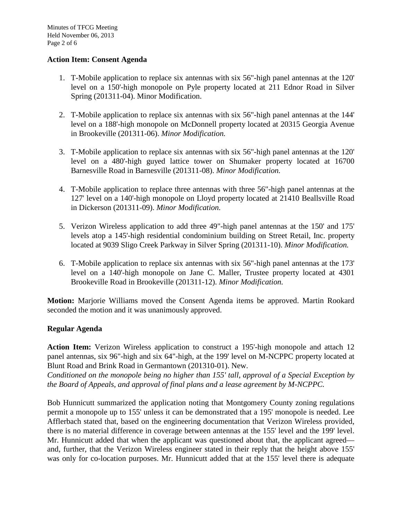## **Action Item: Consent Agenda**

- 1. T-Mobile application to replace six antennas with six 56"-high panel antennas at the 120' level on a 150'-high monopole on Pyle property located at 211 Ednor Road in Silver Spring (201311-04). Minor Modification.
- 2. T-Mobile application to replace six antennas with six 56"-high panel antennas at the 144' level on a 188'-high monopole on McDonnell property located at 20315 Georgia Avenue in Brookeville (201311-06). *Minor Modification.*
- 3. T-Mobile application to replace six antennas with six 56"-high panel antennas at the 120' level on a 480'-high guyed lattice tower on Shumaker property located at 16700 Barnesville Road in Barnesville (201311-08). *Minor Modification.*
- 4. T-Mobile application to replace three antennas with three 56"-high panel antennas at the 127' level on a 140'-high monopole on Lloyd property located at 21410 Beallsville Road in Dickerson (201311-09). *Minor Modification.*
- 5. Verizon Wireless application to add three 49"-high panel antennas at the 150' and 175' levels atop a 145'-high residential condominium building on Street Retail, Inc. property located at 9039 Sligo Creek Parkway in Silver Spring (201311-10). *Minor Modification.*
- 6. T-Mobile application to replace six antennas with six 56"-high panel antennas at the 173' level on a 140'-high monopole on Jane C. Maller, Trustee property located at 4301 Brookeville Road in Brookeville (201311-12). *Minor Modification.*

**Motion:** Marjorie Williams moved the Consent Agenda items be approved. Martin Rookard seconded the motion and it was unanimously approved.

## **Regular Agenda**

**Action Item:** Verizon Wireless application to construct a 195'-high monopole and attach 12 panel antennas, six 96"-high and six 64"-high, at the 199' level on M-NCPPC property located at Blunt Road and Brink Road in Germantown (201310-01). New.

*Conditioned on the monopole being no higher than 155' tall, approval of a Special Exception by the Board of Appeals, and approval of final plans and a lease agreement by M-NCPPC.* 

Bob Hunnicutt summarized the application noting that Montgomery County zoning regulations permit a monopole up to 155' unless it can be demonstrated that a 195' monopole is needed. Lee Afflerbach stated that, based on the engineering documentation that Verizon Wireless provided, there is no material difference in coverage between antennas at the 155' level and the 199' level. Mr. Hunnicutt added that when the applicant was questioned about that, the applicant agreed and, further, that the Verizon Wireless engineer stated in their reply that the height above 155' was only for co-location purposes. Mr. Hunnicutt added that at the 155' level there is adequate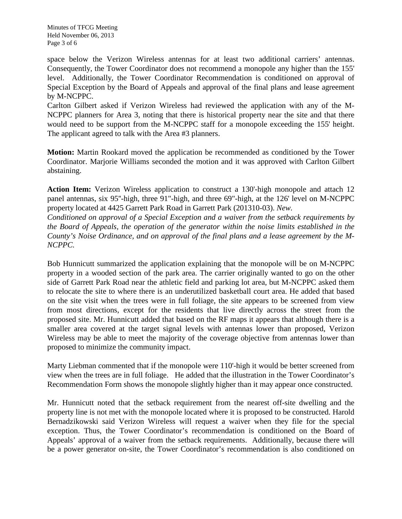Minutes of TFCG Meeting Held November 06, 2013 Page 3 of 6

space below the Verizon Wireless antennas for at least two additional carriers' antennas. Consequently, the Tower Coordinator does not recommend a monopole any higher than the 155' level. Additionally, the Tower Coordinator Recommendation is conditioned on approval of Special Exception by the Board of Appeals and approval of the final plans and lease agreement by M-NCPPC.

Carlton Gilbert asked if Verizon Wireless had reviewed the application with any of the M-NCPPC planners for Area 3, noting that there is historical property near the site and that there would need to be support from the M-NCPPC staff for a monopole exceeding the 155' height. The applicant agreed to talk with the Area #3 planners.

**Motion:** Martin Rookard moved the application be recommended as conditioned by the Tower Coordinator. Marjorie Williams seconded the motion and it was approved with Carlton Gilbert abstaining.

**Action Item:** Verizon Wireless application to construct a 130'-high monopole and attach 12 panel antennas, six 95''-high, three 91"-high, and three 69"-high, at the 126' level on M-NCPPC property located at 4425 Garrett Park Road in Garrett Park (201310-03). *New.*

*Conditioned on approval of a Special Exception and a waiver from the setback requirements by the Board of Appeals, the operation of the generator within the noise limits established in the County's Noise Ordinance, and on approval of the final plans and a lease agreement by the M-NCPPC.* 

Bob Hunnicutt summarized the application explaining that the monopole will be on M-NCPPC property in a wooded section of the park area. The carrier originally wanted to go on the other side of Garrett Park Road near the athletic field and parking lot area, but M-NCPPC asked them to relocate the site to where there is an underutilized basketball court area. He added that based on the site visit when the trees were in full foliage, the site appears to be screened from view from most directions, except for the residents that live directly across the street from the proposed site. Mr. Hunnicutt added that based on the RF maps it appears that although there is a smaller area covered at the target signal levels with antennas lower than proposed, Verizon Wireless may be able to meet the majority of the coverage objective from antennas lower than proposed to minimize the community impact.

Marty Liebman commented that if the monopole were 110'-high it would be better screened from view when the trees are in full foliage. He added that the illustration in the Tower Coordinator's Recommendation Form shows the monopole slightly higher than it may appear once constructed.

Mr. Hunnicutt noted that the setback requirement from the nearest off-site dwelling and the property line is not met with the monopole located where it is proposed to be constructed. Harold Bernadzikowski said Verizon Wireless will request a waiver when they file for the special exception. Thus, the Tower Coordinator's recommendation is conditioned on the Board of Appeals' approval of a waiver from the setback requirements. Additionally, because there will be a power generator on-site, the Tower Coordinator's recommendation is also conditioned on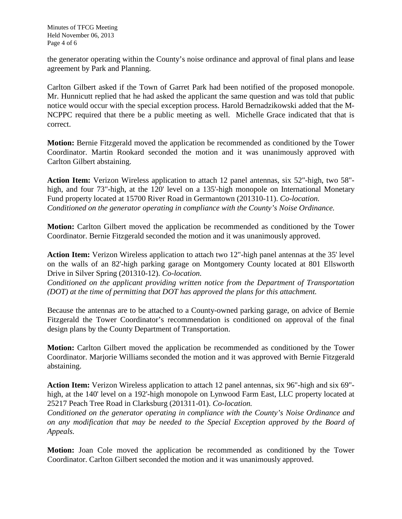the generator operating within the County's noise ordinance and approval of final plans and lease agreement by Park and Planning.

Carlton Gilbert asked if the Town of Garret Park had been notified of the proposed monopole. Mr. Hunnicutt replied that he had asked the applicant the same question and was told that public notice would occur with the special exception process. Harold Bernadzikowski added that the M-NCPPC required that there be a public meeting as well. Michelle Grace indicated that that is correct.

**Motion:** Bernie Fitzgerald moved the application be recommended as conditioned by the Tower Coordinator. Martin Rookard seconded the motion and it was unanimously approved with Carlton Gilbert abstaining.

**Action Item:** Verizon Wireless application to attach 12 panel antennas, six 52"-high, two 58" high, and four 73"-high, at the 120' level on a 135'-high monopole on International Monetary Fund property located at 15700 River Road in Germantown (201310-11). *Co-location. Conditioned on the generator operating in compliance with the County's Noise Ordinance.*

**Motion:** Carlton Gilbert moved the application be recommended as conditioned by the Tower Coordinator. Bernie Fitzgerald seconded the motion and it was unanimously approved.

**Action Item:** Verizon Wireless application to attach two 12"-high panel antennas at the 35' level on the walls of an 82'-high parking garage on Montgomery County located at 801 Ellsworth Drive in Silver Spring (201310-12). *Co-location.* 

*Conditioned on the applicant providing written notice from the Department of Transportation (DOT) at the time of permitting that DOT has approved the plans for this attachment.*

Because the antennas are to be attached to a County-owned parking garage, on advice of Bernie Fitzgerald the Tower Coordinator's recommendation is conditioned on approval of the final design plans by the County Department of Transportation.

**Motion:** Carlton Gilbert moved the application be recommended as conditioned by the Tower Coordinator. Marjorie Williams seconded the motion and it was approved with Bernie Fitzgerald abstaining.

**Action Item:** Verizon Wireless application to attach 12 panel antennas, six 96"-high and six 69" high, at the 140' level on a 192'-high monopole on Lynwood Farm East, LLC property located at 25217 Peach Tree Road in Clarksburg (201311-01). *Co-location.*

*Conditioned on the generator operating in compliance with the County's Noise Ordinance and on any modification that may be needed to the Special Exception approved by the Board of Appeals.*

**Motion:** Joan Cole moved the application be recommended as conditioned by the Tower Coordinator. Carlton Gilbert seconded the motion and it was unanimously approved.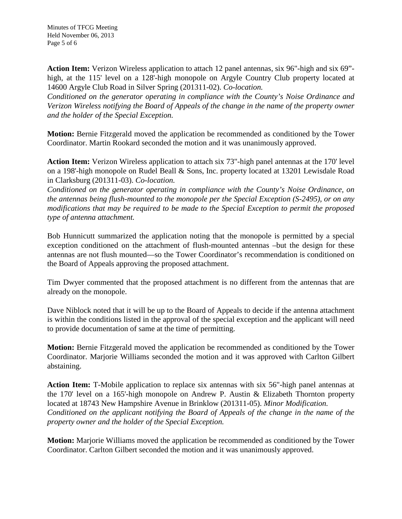Minutes of TFCG Meeting Held November 06, 2013 Page 5 of 6

**Action Item:** Verizon Wireless application to attach 12 panel antennas, six 96"-high and six 69" high, at the 115' level on a 128'-high monopole on Argyle Country Club property located at 14600 Argyle Club Road in Silver Spring (201311-02). *Co-location.*

*Conditioned on the generator operating in compliance with the County's Noise Ordinance and Verizon Wireless notifying the Board of Appeals of the change in the name of the property owner and the holder of the Special Exception.*

**Motion:** Bernie Fitzgerald moved the application be recommended as conditioned by the Tower Coordinator. Martin Rookard seconded the motion and it was unanimously approved.

**Action Item:** Verizon Wireless application to attach six 73"-high panel antennas at the 170' level on a 198'-high monopole on Rudel Beall & Sons, Inc. property located at 13201 Lewisdale Road in Clarksburg (201311-03). *Co-location.* 

*Conditioned on the generator operating in compliance with the County's Noise Ordinance, on the antennas being flush-mounted to the monopole per the Special Exception (S-2495), or on any modifications that may be required to be made to the Special Exception to permit the proposed type of antenna attachment.*

Bob Hunnicutt summarized the application noting that the monopole is permitted by a special exception conditioned on the attachment of flush-mounted antennas –but the design for these antennas are not flush mounted—so the Tower Coordinator's recommendation is conditioned on the Board of Appeals approving the proposed attachment.

Tim Dwyer commented that the proposed attachment is no different from the antennas that are already on the monopole.

Dave Niblock noted that it will be up to the Board of Appeals to decide if the antenna attachment is within the conditions listed in the approval of the special exception and the applicant will need to provide documentation of same at the time of permitting.

**Motion:** Bernie Fitzgerald moved the application be recommended as conditioned by the Tower Coordinator. Marjorie Williams seconded the motion and it was approved with Carlton Gilbert abstaining.

**Action Item:** T-Mobile application to replace six antennas with six 56"-high panel antennas at the 170' level on a 165'-high monopole on Andrew P. Austin & Elizabeth Thornton property located at 18743 New Hampshire Avenue in Brinklow (201311-05). *Minor Modification. Conditioned on the applicant notifying the Board of Appeals of the change in the name of the property owner and the holder of the Special Exception.*

**Motion:** Marjorie Williams moved the application be recommended as conditioned by the Tower Coordinator. Carlton Gilbert seconded the motion and it was unanimously approved.